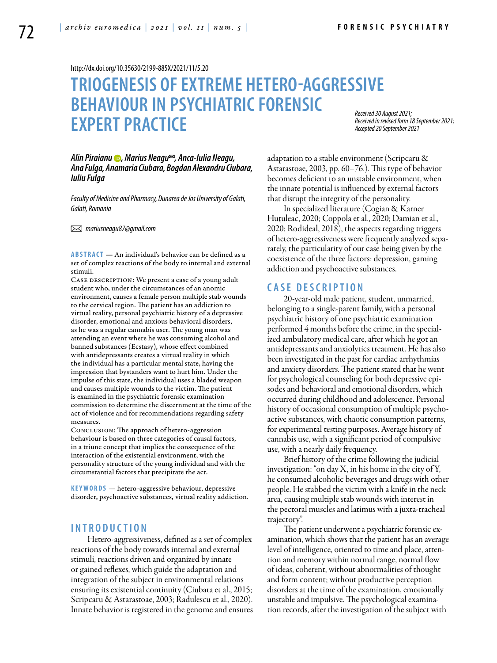<http://dx.doi.org/10.35630/2199-885X/2021/11/5.20>

# **TRIOGENESIS OF EXTREME HETERO-AGGRESSIVE BEHAVIOUR IN PSYCHIATRIC FORENSIC EXPERT PRACTICE**

*Received 30 August 2021; Received in revised form 18 September 2021; Accepted 20 September 2021*

*[Alin Piraianu](https://orcid.org/0000-0001-9664-2128) , Marius Neagu , Anca-Iulia Neagu, Ana Fulga, Anamaria Ciubara, Bogdan Alexandru Ciubara, Iuliu Fulga*

*Faculty of Medicine and Pharmacy, Dunarea de Jos University of Galati, Galati, Romania*

 *mariusneagu87@gmail.com* 

**ABSTRACT** — An individual's behavior can be defined as a set of complex reactions of the body to internal and external stimuli.

CASE DESCRIPTION: We present a case of a young adult student who, under the circumstances of an anomic environment, causes a female person multiple stab wounds to the cervical region. The patient has an addiction to virtual reality, personal psychiatric history of a depressive disorder, emotional and anxious behavioral disorders, as he was a regular cannabis user. The young man was attending an event where he was consuming alcohol and banned substances (Ecstasy), whose effect combined with antidepressants creates a virtual reality in which the individual has a particular mental state, having the impression that bystanders want to hurt him. Under the impulse of this state, the individual uses a bladed weapon and causes multiple wounds to the victim. The patient is examined in the psychiatric forensic examination commission to determine the discernment at the time of the act of violence and for recommendations regarding safety measures.

Conclusion: The approach of hetero-aggression behaviour is based on three categories of causal factors, in a triune concept that implies the consequence of the interaction of the existential environment, with the personality structure of the young individual and with the circumstantial factors that precipitate the act.

KEYWORDS - hetero-aggressive behaviour, depressive disorder, psychoactive substances, virtual reality addiction.

### **INTROD U CTION**

Hetero-aggressiveness, defined as a set of complex reactions of the body towards internal and external stimuli, reactions driven and organized by innate or gained reflexes, which guide the adaptation and integration of the subject in environmental relations ensuring its existential continuity (Ciubara et al., 2015; Scripcaru & Astarastoae, 2003; Radulescu et al., 2020). Innate behavior is registered in the genome and ensures adaptation to a stable environment (Scripcaru & Astarastoae, 2003, pp. 60–76.). This type of behavior becomes deficient to an unstable environment, when the innate potential is influenced by external factors that disrupt the integrity of the personality.

In specialized literature (Cogian & Karner Huţuleac, 2020; Coppola et al., 2020; Damian et al., 2020; Rodideal, 2018), the aspects regarding triggers of hetero-aggressiveness were frequently analyzed separately, the particularity of our case being given by the coexistence of the three factors: depression, gaming addiction and psychoactive substances.

## **C ASE DESC RI P TION**

20-year-old male patient, student, unmarried, belonging to a single-parent family, with a personal psychiatric history of one psychiatric examination performed 4 months before the crime, in the specialized ambulatory medical care, after which he got an antidepressants and anxiolytics treatment. He has also been investigated in the past for cardiac arrhythmias and anxiety disorders. The patient stated that he went for psychological counseling for both depressive episodes and behavioral and emotional disorders, which occurred during childhood and adolescence. Personal history of occasional consumption of multiple psychoactive substances, with chaotic consumption patterns, for experimental testing purposes. Average history of cannabis use, with a significant period of compulsive use, with a nearly daily frequency.

Brief history of the crime following the judicial investigation: "on day X, in his home in the city of Y, he consumed alcoholic beverages and drugs with other people. He stabbed the victim with a knife in the neck area, causing multiple stab wounds with interest in the pectoral muscles and latimus with a juxta-tracheal trajectory".

The patient underwent a psychiatric forensic examination, which shows that the patient has an average level of intelligence, oriented to time and place, attention and memory within normal range, normal flow of ideas, coherent, without abnormalities of thought and form content; without productive perception disorders at the time of the examination, emotionally unstable and impulsive. The psychological examination records, after the investigation of the subject with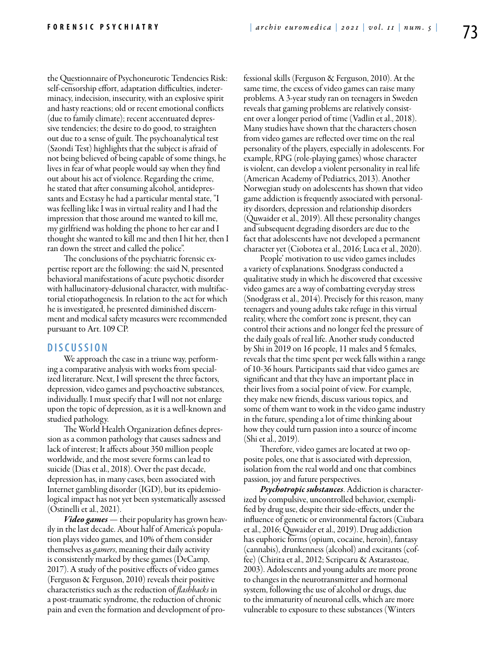the Questionnaire of Psychoneurotic Tendencies Risk: self-censorship effort, adaptation difficulties, indeterminacy, indecision, insecurity, with an explosive spirit and hasty reactions; old or recent emotional conflicts (due to family climate); recent accentuated depressive tendencies; the desire to do good, to straighten out due to a sense of guilt. The psychoanalytical test (Szondi Test) highlights that the subject is afraid of not being believed of being capable of some things, he lives in fear of what people would say when they find out about his act of violence. Regarding the crime, he stated that after consuming alcohol, antidepressants and Ecstasy he had a particular mental state, "I was feelling like I was in virtual reality and I had the impression that those around me wanted to kill me, my girlfriend was holding the phone to her ear and I thought she wanted to kill me and then I hit her, then I ran down the street and called the police".

The conclusions of the psychiatric forensic expertise report are the following: the said N, presented behavioral manifestations of acute psychotic disorder with hallucinatory-delusional character, with multifactorial etiopathogenesis. In relation to the act for which he is investigated, he presented diminished discernment and medical safety measures were recommended pursuant to Art. 109 CP.

## **DISC U SSION**

We approach the case in a triune way, performing a comparative analysis with works from specialized literature. Next, I will spresent the three factors, depression, video games and psychoactive substances, individually. I must specify that I will not not enlarge upon the topic of depression, as it is a well-known and studied pathology.

The World Health Organization defines depression as a common pathology that causes sadness and lack of interest; It affects about 350 million people worldwide, and the most severe forms can lead to suicide (Dias et al., 2018). Over the past decade, depression has, in many cases, been associated with Internet gambling disorder (IGD), but its epidemiological impact has not yet been systematically assessed (Ostinelli et al., 2021).

*Video games* — their popularity has grown heavily in the last decade. About half of America's population plays video games, and 10% of them consider themselves as *gamers*, meaning their daily activity is consistently marked by these games (DeCamp, 2017). A study of the positive effects of video games (Ferguson & Ferguson, 2010) reveals their positive characteristics such as the reduction of *flashbacks* in a post-traumatic syndrome, the reduction of chronic pain and even the formation and development of professional skills (Ferguson & Ferguson, 2010). At the same time, the excess of video games can raise many problems. A 3-year study ran on teenagers in Sweden reveals that gaming problems are relatively consistent over a longer period of time (Vadlin et al., 2018). Many studies have shown that the characters chosen from video games are reflected over time on the real personality of the players, especially in adolescents. For example, RPG (role-playing games) whose character is violent, can develop a violent personality in real life (American Academy of Pediatrics, 2013). Another Norwegian study on adolescents has shown that video game addiction is frequently associated with personality disorders, depression and relationship disorders (Quwaider et al., 2019). All these personality changes and subsequent degrading disorders are due to the fact that adolescents have not developed a permanent character yet (Ciobotea et al., 2016; Luca et al., 2020).

People' motivation to use video games includes a variety of explanations. Snodgrass conducted a qualitative study in which he discovered that excessive video games are a way of combatting everyday stress (Snodgrass et al., 2014). Precisely for this reason, many teenagers and young adults take refuge in this virtual reality, where the comfort zone is present, they can control their actions and no longer feel the pressure of the daily goals of real life. Another study conducted by Shi in 2019 on 16 people, 11 males and 5 females, reveals that the time spent per week falls within a range of 10-36 hours. Participants said that video games are significant and that they have an important place in their lives from a social point of view. For example, they make new friends, discuss various topics, and some of them want to work in the video game industry in the future, spending a lot of time thinking about how they could turn passion into a source of income (Shi et al., 2019).

Therefore, video games are located at two opposite poles, one that is associated with depression, isolation from the real world and one that combines passion, joy and future perspectives.

*Psychotropic substances*. Addiction is characterized by compulsive, uncontrolled behavior, exemplified by drug use, despite their side-effects, under the influence of genetic or environmental factors (Ciubara et al., 2016; Quwaider et al., 2019). Drug addiction has euphoric forms (opium, cocaine, heroin), fantasy (cannabis), drunkenness (alcohol) and excitants (coffee) (Chirita et al., 2012; Scripcaru & Astarastoae, 2003). Adolescents and young adults are more prone to changes in the neurotransmitter and hormonal system, following the use of alcohol or drugs, due to the immaturity of neuronal cells, which are more vulnerable to exposure to these substances (Winters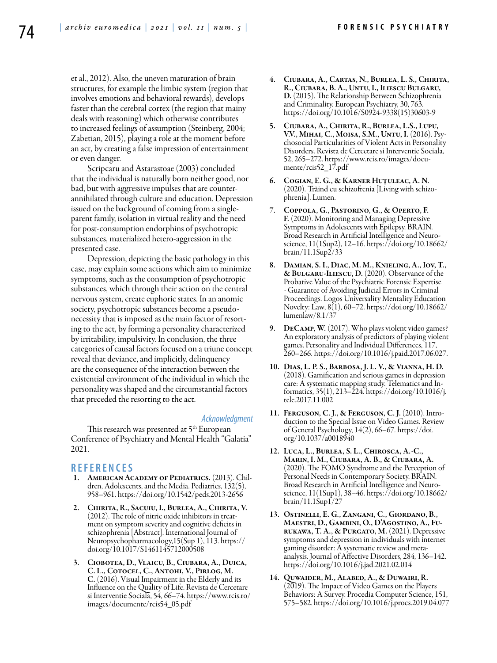et al., 2012). Also, the uneven maturation of brain structures, for example the limbic system (region that involves emotions and behavioral rewards), develops faster than the cerebral cortex (the region that mainy deals with reasoning) which otherwise contributes to increased feelings of assumption (Steinberg, 2004; Zabetian, 2015), playing a role at the moment before an act, by creating a false impression of entertainment or even danger.

Scripcaru and Astarastoae (2003) concluded that the individual is naturally born neither good, nor bad, but with aggressive impulses that are counterannihilated through culture and education. Depression issued on the background of coming from a singleparent family, isolation in virtual reality and the need for post-consumption endorphins of psychotropic substances, materialized hetero-aggression in the presented case.

Depression, depicting the basic pathology in this case, may explain some actions which aim to minimize symptoms, such as the consumption of psychotropic substances, which through their action on the central nervous system, create euphoric states. In an anomic society, psychotropic substances become a pseudonecessity that is imposed as the main factor of resorting to the act, by forming a personality characterized by irritability, impulsivity. In conclusion, the three categories of causal factors focused on a triune concept reveal that deviance, and implicitly, delinquency are the consequence of the interaction between the existential environment of the individual in which the personality was shaped and the circumstantial factors that preceded the resorting to the act.

#### *Acknowledgment*

This research was presented at 5<sup>th</sup> European Conference of Psychiatry and Mental Health "Galatia" 2021.

#### **REFEREN CES**

- 1. American Academy of Pediatrics. (2013). Children, Adolescents, and the Media. Pediatrics, 132(5), 958–961. https://doi.org/10.1542/peds.2013-2656
- 2. Chirita, R., Sacuiu, I., Burlea, A., Chirita, V. (2012). The role of nitric oxide inhibitors in treatment on symptom severity and cognitive deficits in schizophrenia [Abstract]. International Journal of Neuropsychopharmacology,15(Sup 1), 113. https:// doi.org/10.1017/S1461145712000508
- 3. Ciobotea, D., Vlaicu, B., Ciubara, A., Duica, C. L., Cotocel, C., Antohi, V., Pirlog, M. C. (2016). Visual Impairment in the Elderly and its Influence on the Quality of Life. Revista de Cercetare si Interventie Sociala, 54, 66–74. https://www.rcis.ro/ images/documente/rcis54\_05.pdf
- 4. Ciubara, A., Cartas, N., Burlea, L. S., Chirita, R., Ciubara, B. A., Untu, I., Iliescu Bulgaru, D. (2015). The Relationship Between Schizophrenia and Criminality. European Psychiatry, 30, 763. https://doi.org/10.1016/S0924-9338(15)30603-9
- 5. Ciubara, A., Chirita, R., Burlea, L.S., Lupu,<br>V.V., Mihai, C., Moisa, S.M., Untu, I. (2016). Psychosocial Particularities of Violent Acts in Personality Disorders. Revista de Cercetare si Interventie Sociala, 52, 265–272. https://www.rcis.ro/images/docu- mente/rcis52\_17.pdf
- 6. Cogian, E. G., & Karner Huţuleac, A. N. (2020). Trăind cu schizofrenia [Living with schizophrenia]. Lumen.
- 7. Coppola, G., Pastorino, G., & Operto, F. F. (2020). Monitoring and Managing Depressive Symptoms in Adolescents with Epilepsy. BRAIN. science, 11(1Sup2), 12–16. https://doi.org/10.18662/ brain/11.1Sup2/33
- 8. Damian, S. I., Diac, M. M., Knieling, A., Iov, T., & Bulgaru-Iliescu, D. (2020). Observance of the Probative Value of the Psychiatric Forensic Expertise - Guarantee of Avoiding Judicial Errors in Criminal Proceedings. Logos Universality Mentality Education Novelty: Law, 8(1), 60–72. https://doi.org/10.18662/ lumenlaw/8.1/37
- 9. DeCamp, W. (2017). Who plays violent video games? An exploratory analysis of predictors of playing violent games. Personality and Individual Differences, 117, 260–266. https://doi.org/10.1016/j.paid.2017.06.027.
- 10. Dias, L. P. S., Barbosa, J. L. V., & Vianna, H. D. (2018). Gamification and serious games in depression care: A systematic mapping study. Telematics and Informatics, 35(1), 213–224. https://doi.org/10.1016/j. tele.2017.11.002
- 11. Ferguson, C. J., & Ferguson, C. J. (2010). Introduction to the Special Issue on Video Games. Review of General Psychology, 14(2), 66–67. https://doi. org/10.1037/a0018940
- 12. Luca, L., Burlea, S. L., Chirosca, A.-C., Marin, I. M., Ciubara, A. B., & Ciubara, A. (2020). The FOMO Syndrome and the Perception of Personal Needs in Contemporary Society. BRAIN. Broad Research in Artificial Intelligence and Neuroscience, 11(1Sup1), 38–46. https://doi.org/10.18662/ brain/11.1Sup1/27
- 13. Ostinelli, E. G., Zangani, C., Giordano, B.,<br>Maestri, D., Gambini, O., D'Agostino, A., Fu-RUKAWA, T. A., & PURGATO, M. (2021). Depressive symptoms and depression in individuals with internet gaming disorder: A systematic review and metaanalysis. Journal of Affective Disorders, 284, 136–142. https://doi.org/10.1016/j.jad.2021.02.014
- 14. Quwaider, M., Alabed, A., & Duwairi, R. (2019). The Impact of Video Games on the Players Behaviors: A Survey. Procedia Computer Science, 151, 575–582. https://doi.org/10.1016/j.procs.2019.04.077